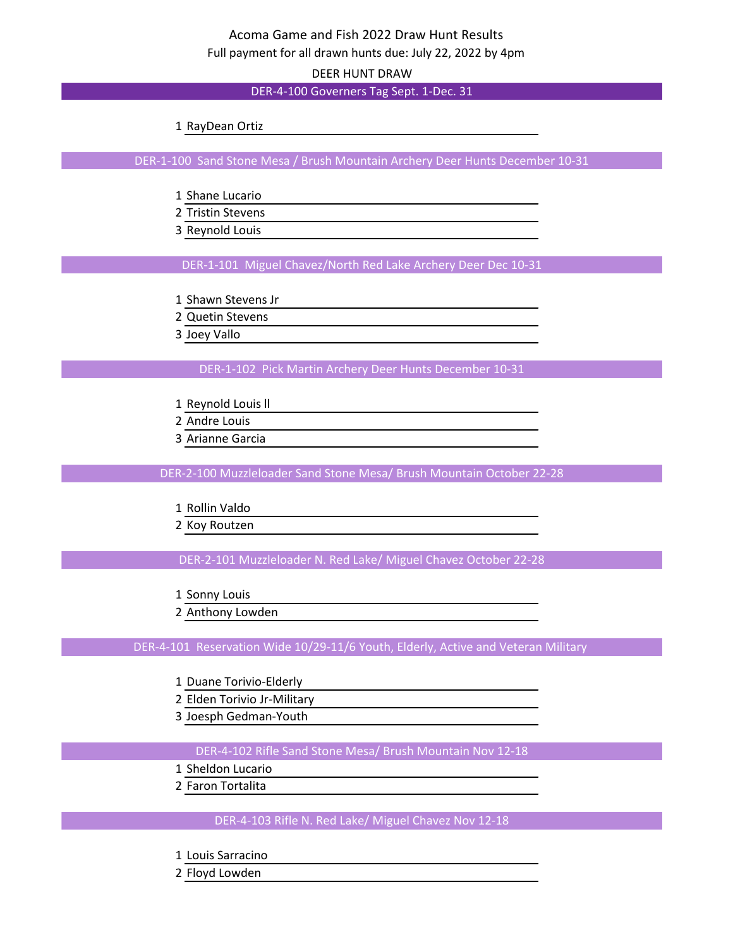DEER HUNT DRAW

DER-4-100 Governers Tag Sept. 1-Dec. 31

RayDean Ortiz

DER-1-100 Sand Stone Mesa / Brush Mountain Archery Deer Hunts December 10-31

- Shane Lucario
- Tristin Stevens
- Reynold Louis

DER-1-101 Miguel Chavez/North Red Lake Archery Deer Dec 10-31

- Shawn Stevens Jr
- Quetin Stevens
- Joey Vallo

DER-1-102 Pick Martin Archery Deer Hunts December 10-31

- Reynold Louis ll
- Andre Louis
- Arianne Garcia

DER-2-100 Muzzleloader Sand Stone Mesa/ Brush Mountain October 22-28

Rollin Valdo

Koy Routzen

DER-2-101 Muzzleloader N. Red Lake/ Miguel Chavez October 22-28

- Sonny Louis
- Anthony Lowden

DER-4-101 Reservation Wide 10/29-11/6 Youth, Elderly, Active and Veteran Military

- Duane Torivio-Elderly
- Elden Torivio Jr-Military
- Joesph Gedman-Youth

DER-4-102 Rifle Sand Stone Mesa/ Brush Mountain Nov 12-18

- Sheldon Lucario
- Faron Tortalita

DER-4-103 Rifle N. Red Lake/ Miguel Chavez Nov 12-18

- Louis Sarracino
- Floyd Lowden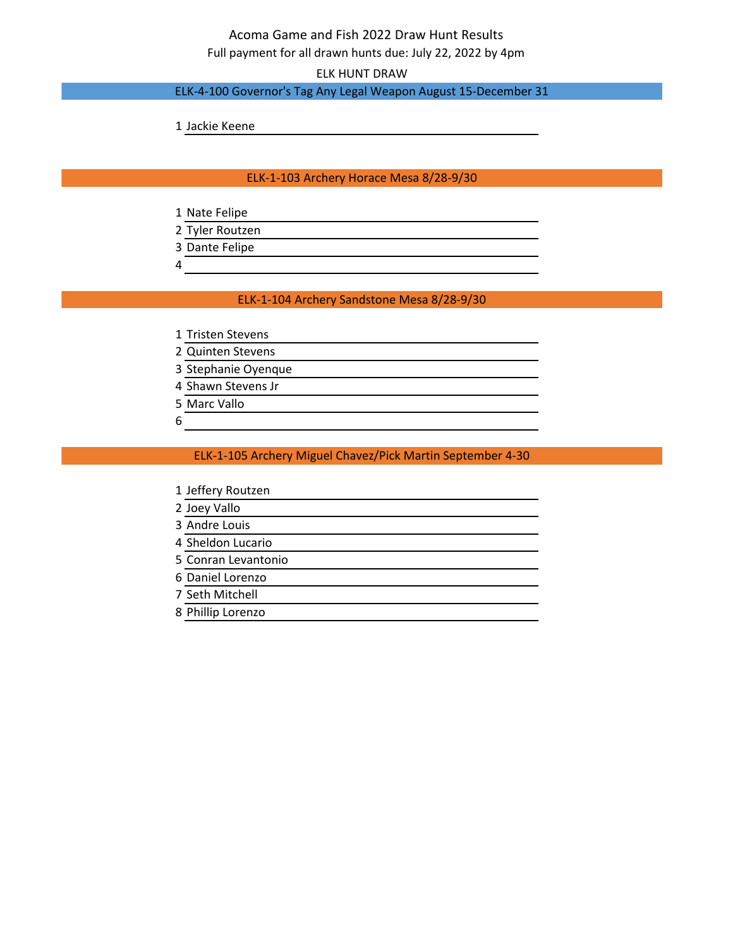# Acoma Game and Fish 2022 Draw Hunt Results

Full payment for all drawn hunts due: July 22, 2022 by 4pm

ELK HUNT DRAW

### ELK-4-100 Governor's Tag Any Legal Weapon August 15-December 31

Jackie Keene

#### ELK-1-103 Archery Horace Mesa 8/28-9/30

- Nate Felipe
- Tyler Routzen
- Dante Felipe
- 

#### ELK-1-104 Archery Sandstone Mesa 8/28-9/30

- Tristen Stevens
- Quinten Stevens
- Stephanie Oyenque
- Shawn Stevens Jr
- Marc Vallo
- 

#### ELK-1-105 Archery Miguel Chavez/Pick Martin September 4-30

- Jeffery Routzen
- Joey Vallo
- Andre Louis
- Sheldon Lucario
- Conran Levantonio
- Daniel Lorenzo
- Seth Mitchell
- Phillip Lorenzo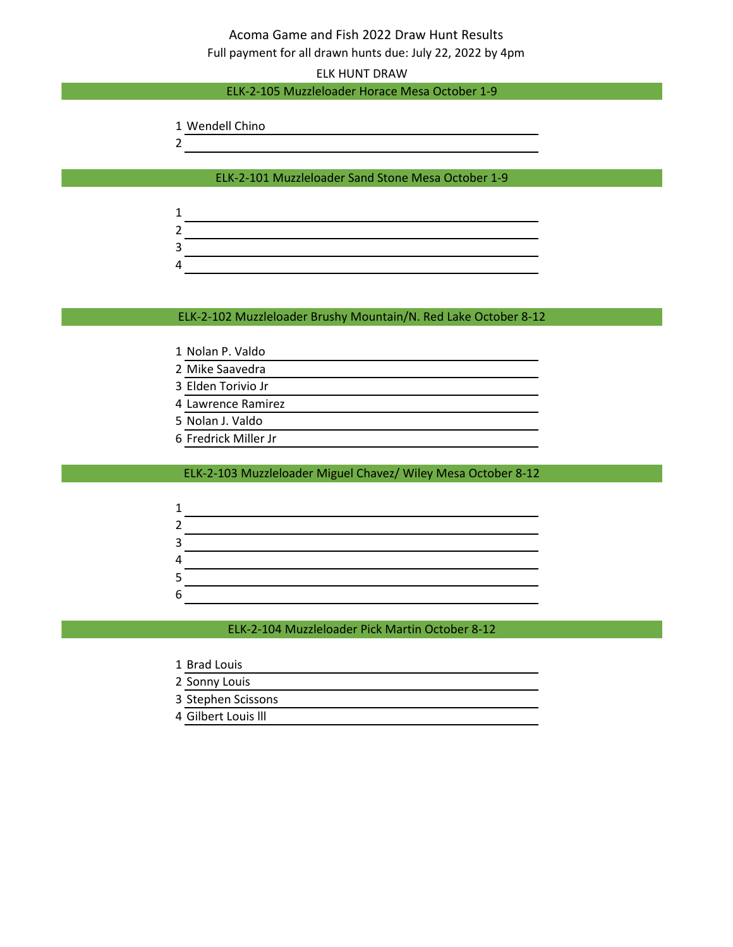## Acoma Game and Fish 2022 Draw Hunt Results Full payment for all drawn hunts due: July 22, 2022 by 4pm

ELK HUNT DRAW

#### ELK-2-105 Muzzleloader Horace Mesa October 1-9

- Wendell Chino
- 

ELK-2-101 Muzzleloader Sand Stone Mesa October 1-9

#### ELK-2-102 Muzzleloader Brushy Mountain/N. Red Lake October 8-12

- Nolan P. Valdo
- Mike Saavedra
- Elden Torivio Jr
- Lawrence Ramirez
- Nolan J. Valdo
- Fredrick Miller Jr

#### ELK-2-103 Muzzleloader Miguel Chavez/ Wiley Mesa October 8-12

| ш. |  |
|----|--|
|    |  |
|    |  |
|    |  |

ELK-2-104 Muzzleloader Pick Martin October 8-12

- Brad Louis
- Sonny Louis
- Stephen Scissons
- Gilbert Louis lll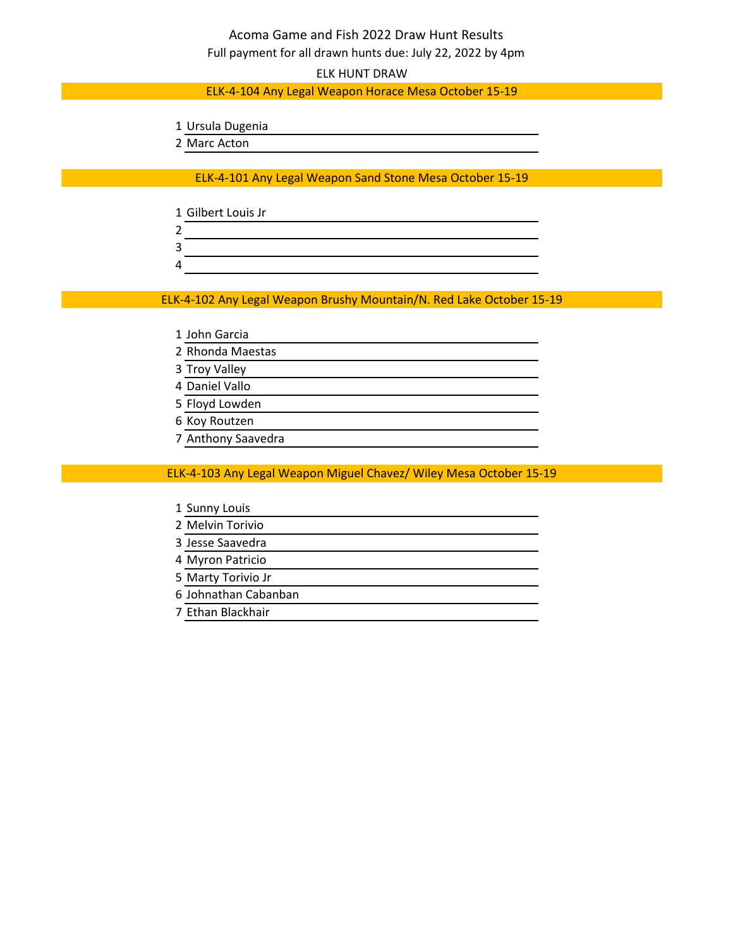## Acoma Game and Fish 2022 Draw Hunt Results Full payment for all drawn hunts due: July 22, 2022 by 4pm

ELK HUNT DRAW

#### ELK-4-104 Any Legal Weapon Horace Mesa October 15-19

- Ursula Dugenia
- Marc Acton

ELK-4-101 Any Legal Weapon Sand Stone Mesa October 15-19

- Gilbert Louis Jr
- 
- 

ELK-4-102 Any Legal Weapon Brushy Mountain/N. Red Lake October 15-19

- John Garcia
- Rhonda Maestas
- Troy Valley
- Daniel Vallo
- Floyd Lowden
- Koy Routzen
- Anthony Saavedra

ELK-4-103 Any Legal Weapon Miguel Chavez/ Wiley Mesa October 15-19

- Sunny Louis
- Melvin Torivio
- Jesse Saavedra
- Myron Patricio
- Marty Torivio Jr
- Johnathan Cabanban
- Ethan Blackhair